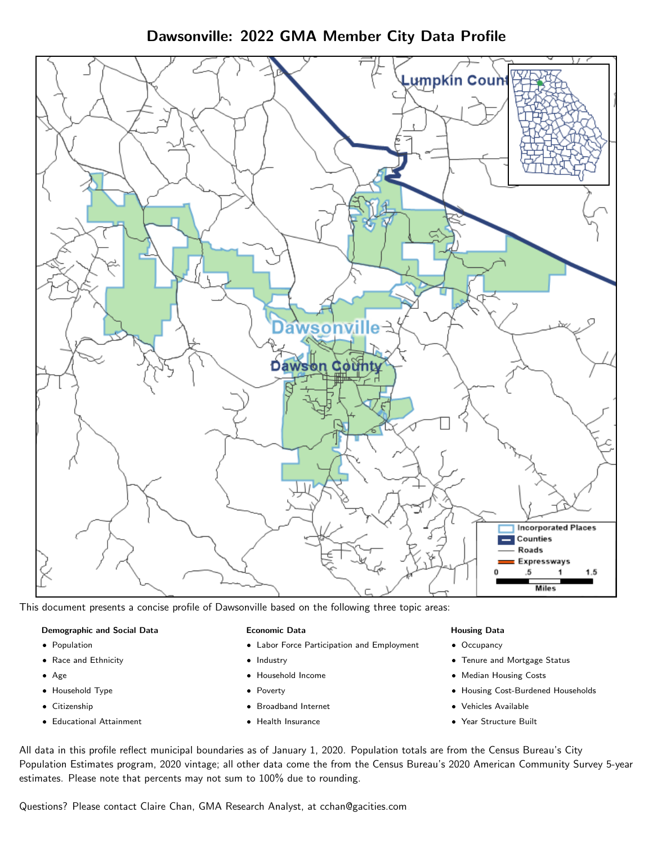Dawsonville: 2022 GMA Member City Data Profile



This document presents a concise profile of Dawsonville based on the following three topic areas:

#### Demographic and Social Data

- **•** Population
- Race and Ethnicity
- Age
- Household Type
- **Citizenship**
- Educational Attainment

### Economic Data

- Labor Force Participation and Employment
- Industry
- Household Income
- Poverty
- Broadband Internet
- Health Insurance

### Housing Data

- Occupancy
- Tenure and Mortgage Status
- Median Housing Costs
- Housing Cost-Burdened Households
- Vehicles Available
- Year Structure Built

All data in this profile reflect municipal boundaries as of January 1, 2020. Population totals are from the Census Bureau's City Population Estimates program, 2020 vintage; all other data come the from the Census Bureau's 2020 American Community Survey 5-year estimates. Please note that percents may not sum to 100% due to rounding.

Questions? Please contact Claire Chan, GMA Research Analyst, at [cchan@gacities.com.](mailto:cchan@gacities.com)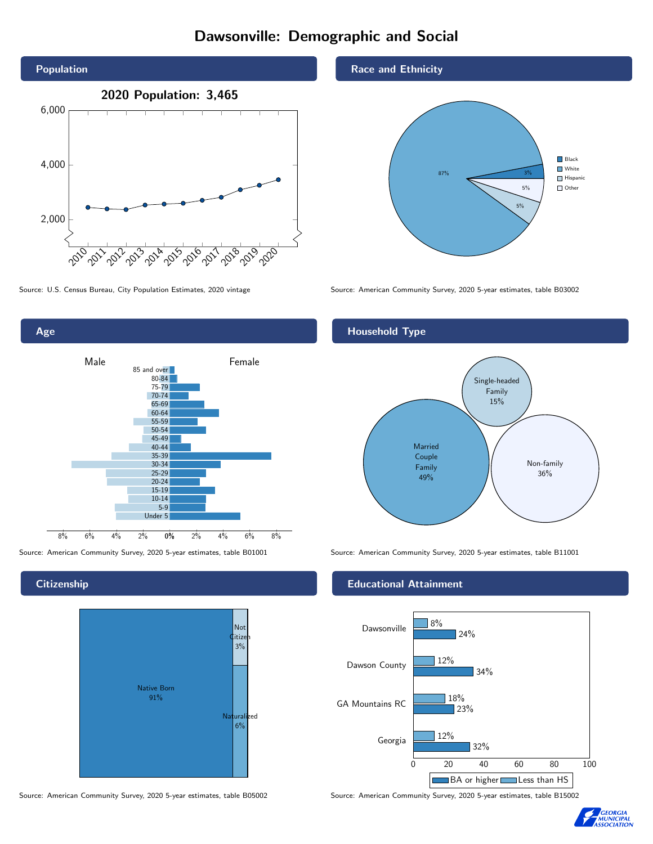# Dawsonville: Demographic and Social





Age 0% 2% 4% 6% 8% Male **Female** 8% 6% 4% 2% 85 and over 80-84 75-79 70-74 65-69 60-64 55-59 50-54 45-49 40-44 35-39 30-34 25-29 20-24 15-19 10-14 5-9 Under 5

**Citizenship** 



Source: American Community Survey, 2020 5-year estimates, table B05002 Source: American Community Survey, 2020 5-year estimates, table B15002

## Race and Ethnicity



# Household Type



Source: American Community Survey, 2020 5-year estimates, table B01001 Source: American Community Survey, 2020 5-year estimates, table B11001

#### Educational Attainment



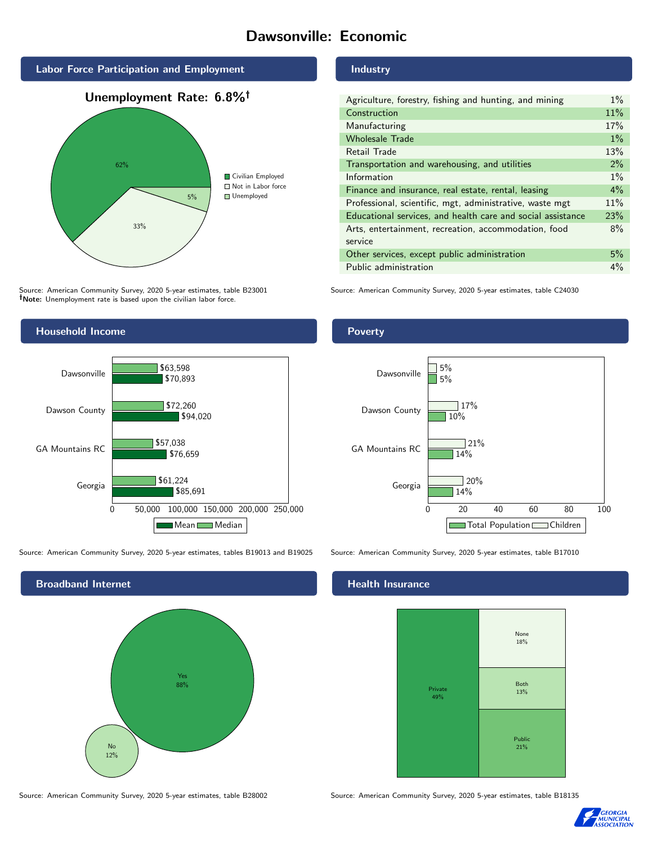# Dawsonville: Economic







Source: American Community Survey, 2020 5-year estimates, table B23001 Note: Unemployment rate is based upon the civilian labor force.



Source: American Community Survey, 2020 5-year estimates, tables B19013 and B19025 Source: American Community Survey, 2020 5-year estimates, table B17010



#### Industry

| Agriculture, forestry, fishing and hunting, and mining      | $1\%$ |
|-------------------------------------------------------------|-------|
| Construction                                                | 11%   |
| Manufacturing                                               | 17%   |
| <b>Wholesale Trade</b>                                      | $1\%$ |
| Retail Trade                                                | 13%   |
| Transportation and warehousing, and utilities               | 2%    |
| Information                                                 | $1\%$ |
| Finance and insurance, real estate, rental, leasing         | $4\%$ |
| Professional, scientific, mgt, administrative, waste mgt    | 11%   |
| Educational services, and health care and social assistance | 23%   |
| Arts, entertainment, recreation, accommodation, food        | 8%    |
| service                                                     |       |
| Other services, except public administration                | 5%    |
| Public administration                                       | $4\%$ |

Source: American Community Survey, 2020 5-year estimates, table C24030

# Poverty



## Health Insurance



Source: American Community Survey, 2020 5-year estimates, table B28002 Source: American Community Survey, 2020 5-year estimates, table B18135